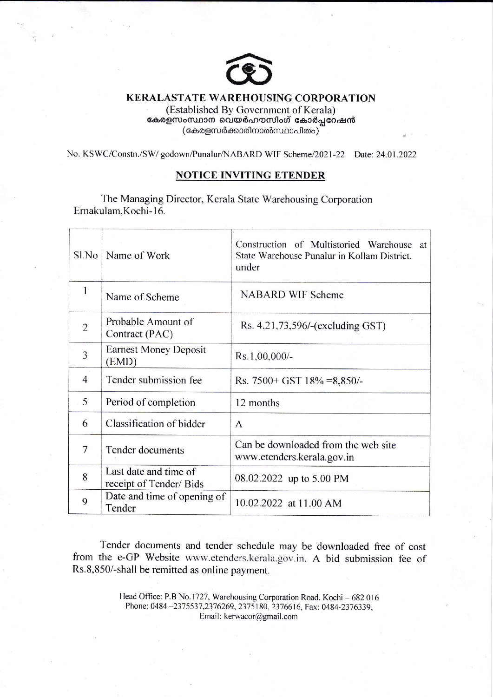

## **KERALASTATE WAREHOUSING CORPORATION**

(Established By Government of Kerala) കേരളസംസ്ഥാന വെയർഹൗസിംഗ് കോർപ്പറേഷൻ (കേരളസർക്കാരിനാൽസ്ഥാപിതം)

No. KSWC/Constn./SW/ godown/Punalur/NABARD WIF Scheme/2021-22 Date: 24.01.2022

## **NOTICE INVITING ETENDER**

The Managing Director, Kerala State Warehousing Corporation Ernakulam, Kochi-16.

| Sl.No          | Name of Work                                    | Construction of Multistoried Warehouse<br>at<br>State Warehouse Punalur in Kollam District.<br>under |
|----------------|-------------------------------------------------|------------------------------------------------------------------------------------------------------|
| 1              | Name of Scheme                                  | <b>NABARD WIF Scheme</b>                                                                             |
| $\overline{2}$ | Probable Amount of<br>Contract (PAC)            | Rs. 4,21,73,596/-(excluding GST)                                                                     |
| 3              | <b>Earnest Money Deposit</b><br>(EMD)           | $Rs.1,00,000/$ -                                                                                     |
| $\overline{4}$ | Tender submission fee                           | Rs. $7500 + GST$ 18% = 8,850/-                                                                       |
| 5              | Period of completion                            | 12 months                                                                                            |
| 6              | Classification of bidder                        | $\mathsf{A}$                                                                                         |
| 7              | Tender documents                                | Can be downloaded from the web site<br>www.etenders.kerala.gov.in                                    |
| 8              | Last date and time of<br>receipt of Tender/Bids | 08.02.2022 up to 5.00 PM                                                                             |
| 9              | Date and time of opening of<br>Tender           | 10.02.2022 at 11.00 AM                                                                               |

Tender documents and tender schedule may be downloaded free of cost from the e-GP Website www.etenders.kerala.gov.in. A bid submission fee of Rs.8,850/-shall be remitted as online payment.

> Head Office: P.B No.1727, Warehousing Corporation Road, Kochi - 682 016 Phone: 0484-2375537,2376269, 2375180, 2376616, Fax: 0484-2376339, Email: kerwacor@gmail.com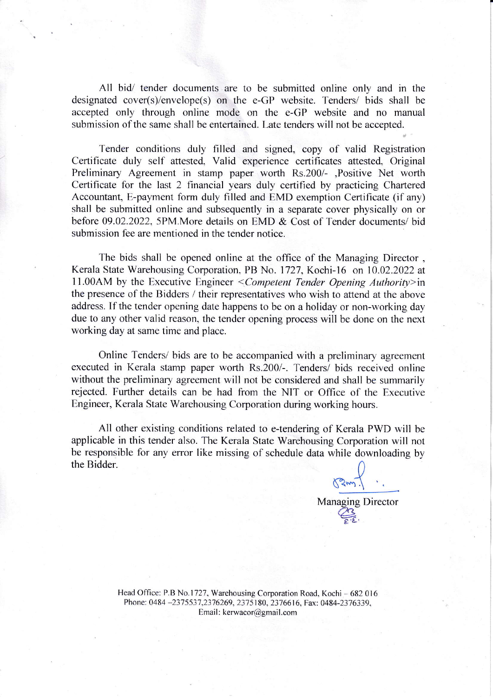All bid/ tender documents are to be submitted online only and in the designated cover(s)/envelope(s) on the e-GP website. Tenders/ bids shall be accepted only through online mode on the e-GP website and no manual submission of the same shall be entertained. Late tenders will not be accepted.

Tender conditions duly filled and signed, copy of valid Registration Certificate duly self attested, Valid experience certificates attested. Original Preliminary Agreement in stamp paper worth Rs.200/- ,Positive Net worth Certificate for the last 2 financial years duly certified by practicing Chartered Accountant, E-payment form duly filled and EMD exemption Certificate (if any) shall be submitted online and subsequently in a separate cover physically on or before 09.02.2022. 5PM.More details on EMD & Cost of Tender documents/ bid submission fee are mentioned in the tender notice.

The bids shall be opened online at the office of the Managing Director , Kerala State Warehousing Corporation. PB No. 1727, Kochi-16 on 10.02.2022 at 11.00AM by the Executive Engineer  $\leq$ Competent Tender Opening Authority>in the presence of the Bidders / their representatives who wish to attend at the above address. If the tender opening date happens to be on a holiday or non-working dav due to any other valid reason, the tender opening process will be done on the next working day at same time and place.

Online Tenders/ bids are to be accompanied with a preliminary agreement executed in Kerala stamp paper worth Rs.200/-. Tenders/ bids received online without the preliminary agreement will not be considered and shall be summarilv rejected. Further details can be had from the NIT or Office of the Executive Engineer, Kerala State Warehousing Corporation during working hours.

All other existing conditions related to e-tendering of Kerala PWD will be applicable in this tender also. The Kerala State Warehousing Corporation will not be responsible for any error like missing of schedule data while downloading by the Bidder.

 $\sqrt{2}$ Managing Director

Head Office: P.B No.1727, Warehousing Corporation Road, Kochi - 682 016 Phone: 0484 -2375537,2376269, 2375180, 2376616, Fax: 0484-2376339, Email: kerwacor@gmail.com